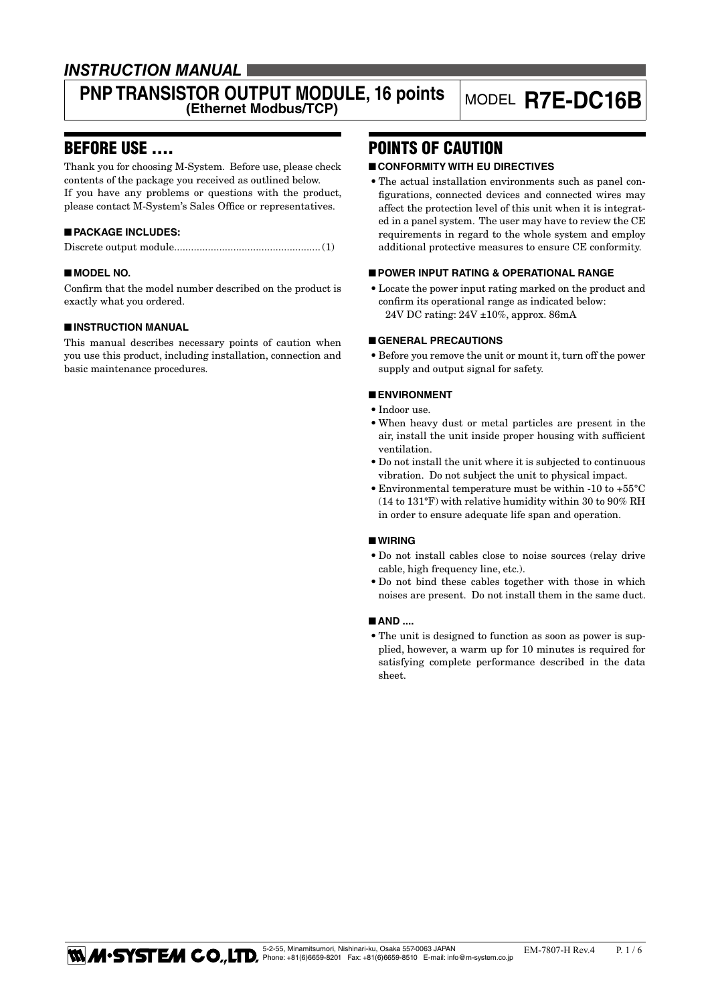### *INSTRUCTION MANUAL*

# **PNP TRANSISTOR OUTPUT MODULE, 16 points** MODEL **R7E-DC16B**

### BEFORE USE ....

Thank you for choosing M-System. Before use, please check contents of the package you received as outlined below. If you have any problems or questions with the product, please contact M-System's Sales Office or representatives.

#### ■ **PACKAGE INCLUDES:**

|--|--|--|--|

#### ■ **MODEL NO.**

Confirm that the model number described on the product is exactly what you ordered.

#### ■ **INSTRUCTION MANUAL**

This manual describes necessary points of caution when you use this product, including installation, connection and basic maintenance procedures.

### POINTS OF CAUTION

#### ■ **CONFORMITY WITH EU DIRECTIVES**

• The actual installation environments such as panel configurations, connected devices and connected wires may affect the protection level of this unit when it is integrated in a panel system. The user may have to review the CE requirements in regard to the whole system and employ additional protective measures to ensure CE conformity.

#### ■ **POWER INPUT RATING & OPERATIONAL RANGE**

• Locate the power input rating marked on the product and confirm its operational range as indicated below: 24V DC rating: 24V ±10%, approx. 86mA

#### ■ **GENERAL PRECAUTIONS**

• Before you remove the unit or mount it, turn off the power supply and output signal for safety.

#### ■ **ENVIRONMENT**

- • Indoor use.
- • When heavy dust or metal particles are present in the air, install the unit inside proper housing with sufficient ventilation.
- • Do not install the unit where it is subjected to continuous vibration. Do not subject the unit to physical impact.
- $\bullet$  Environmental temperature must be within -10 to +55°C (14 to 131°F) with relative humidity within 30 to 90% RH in order to ensure adequate life span and operation.

#### ■ **WIRING**

- • Do not install cables close to noise sources (relay drive cable, high frequency line, etc.).
- Do not bind these cables together with those in which noises are present. Do not install them in the same duct.

#### ■ **AND ....**

• The unit is designed to function as soon as power is supplied, however, a warm up for 10 minutes is required for satisfying complete performance described in the data sheet.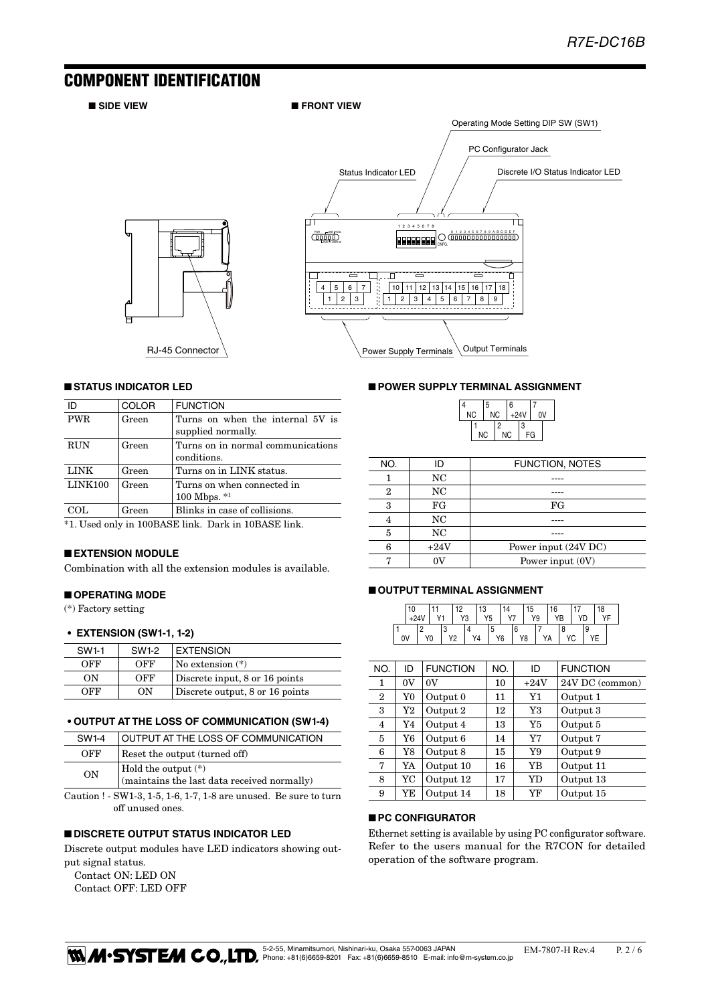### COMPONENT IDENTIFICATION

■ SIDE VIEW ■ FRONT VIEW





#### ■ **STATUS INDICATOR LED**

| ID         | <b>COLOR</b> | <b>FUNCTION</b>                                        |  |  |  |  |  |
|------------|--------------|--------------------------------------------------------|--|--|--|--|--|
| <b>PWR</b> | Green        | Turns on when the internal 5V is<br>supplied normally. |  |  |  |  |  |
|            |              |                                                        |  |  |  |  |  |
| <b>RUN</b> | Green        | Turns on in normal communications<br>conditions.       |  |  |  |  |  |
| LINK       | Green        | Turns on in LINK status.                               |  |  |  |  |  |
| LINK100    | Green        | Turns on when connected in<br>100 Mbps. $*1$           |  |  |  |  |  |
| COL        | Green        | Blinks in case of collisions.                          |  |  |  |  |  |
|            |              |                                                        |  |  |  |  |  |

\*1. Used only in 100BASE link. Dark in 10BASE link.

#### ■ **EXTENSION MODULE**

Combination with all the extension modules is available.

#### ■ **OPERATING MODE**

(\*) Factory setting

#### **•  EXTENSION (SW1-1, 1-2)**

| SW1-1 | SW1-2 | <b>EXTENSION</b>                |
|-------|-------|---------------------------------|
| OFF   | OFF   | No extension $(*)$              |
| OΝ    | OFF   | Discrete input, 8 or 16 points  |
| OFF   | OΝ    | Discrete output, 8 or 16 points |

#### **• OUTPUT AT THE LOSS OF COMMUNICATION (SW1-4)**

| SW <sub>1-4</sub> | OUTPUT AT THE LOSS OF COMMUNICATION                                |
|-------------------|--------------------------------------------------------------------|
| OFF               | Reset the output (turned off)                                      |
| ON                | Hold the output (*)<br>(maintains the last data received normally) |

Caution ! - SW1-3, 1-5, 1-6, 1-7, 1-8 are unused. Be sure to turn off unused ones.

#### ■ **DISCRETE OUTPUT STATUS INDICATOR LED**

Discrete output modules have LED indicators showing output signal status.

Contact ON: LED ON Contact OFF: LED OFF

#### ■ **POWER SUPPLY TERMINAL ASSIGNMENT**

|                        | 5 |           | 6      |    |    |  |  |
|------------------------|---|-----------|--------|----|----|--|--|
| <b>NC</b><br><b>NC</b> |   |           | $+24V$ |    | 0V |  |  |
|                        |   | 2         |        | 3  |    |  |  |
| <b>NC</b>              |   | <b>NC</b> |        | FG |    |  |  |

| NO. |        | <b>FUNCTION, NOTES</b> |
|-----|--------|------------------------|
|     | NC     |                        |
|     | NC     |                        |
| З   | FG     | FG                     |
|     | NC     |                        |
| 5   | NC     |                        |
| հ   | $+24V$ | Power input (24V DC)   |
|     |        | Power input $(0V)$     |

#### ■ **OUTPUT TERMINAL ASSIGNMENT**

|    | 10 |                          | 10 |     | 13 |    | 5  |    | 16        |  | 18 |  |
|----|----|--------------------------|----|-----|----|----|----|----|-----------|--|----|--|
|    |    | $\overline{\phantom{a}}$ | V2 | . ت | Y5 |    |    | Υ9 | <b>VR</b> |  |    |  |
|    |    |                          |    |     |    |    |    |    |           |  |    |  |
| 0V |    |                          |    | Y4  |    | Y6 | Y8 |    | ın        |  |    |  |

| NO.            | ID       | <b>FUNCTION</b> | NO. | ID     | <b>FUNCTION</b> |
|----------------|----------|-----------------|-----|--------|-----------------|
| 1              | 0V       | 0V              | 10  | $+24V$ | 24V DC (common) |
| $\overline{2}$ | Y0       | Output 0        | 11  | Y1     | Output 1        |
| 3              | $\rm Y2$ | Output 2        | 12  | Y3     | Output 3        |
| 4              | Y4       | Output 4        | 13  | Y5     | Output 5        |
| 5              | Y6       | Output 6        | 14  | Y7     | Output 7        |
| 6              | Y8       | Output 8        | 15  | Y9     | Output 9        |
| 7              | YA       | Output 10       | 16  | YB     | Output 11       |
| 8              | YC       | Output 12       | 17  | YD     | Output 13       |
| 9              | YE       | Output 14       | 18  | YF     | Output 15       |

#### ■ **PC CONFIGURATOR**

Ethernet setting is available by using PC configurator software. Refer to the users manual for the R7CON for detailed operation of the software program.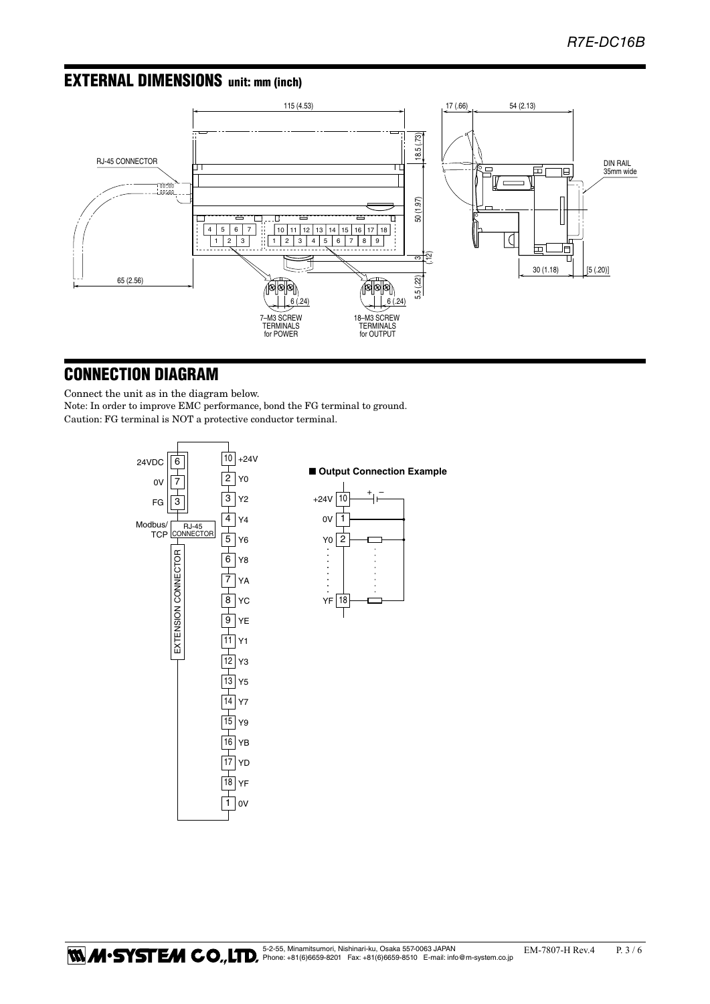### EXTERNAL DIMENSIONS unit: mm (inch)



### CONNECTION DIAGRAM

Connect the unit as in the diagram below. Note: In order to improve EMC performance, bond the FG terminal to ground. Caution: FG terminal is NOT a protective conductor terminal.

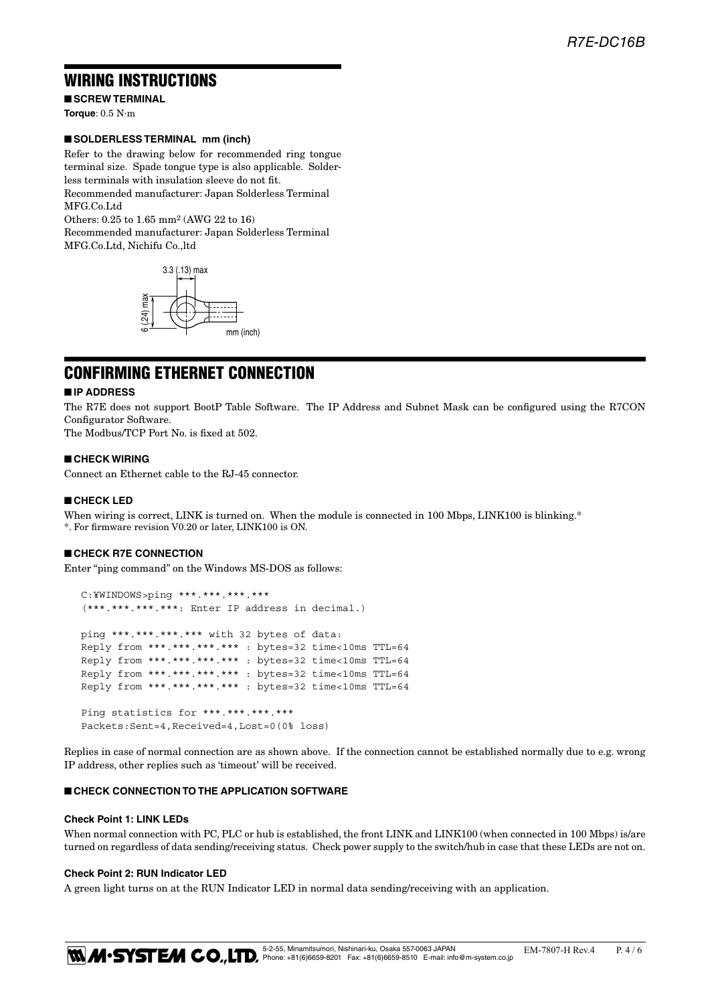### WIRING INSTRUCTIONS

■ **SCREW TERMINAL Torque**: 0.5 N·m

#### ■ **SOLDERLESS TERMINAL mm (inch)**

Refer to the drawing below for recommended ring tongue terminal size. Spade tongue type is also applicable. Solderless terminals with insulation sleeve do not fit. Recommended manufacturer: Japan Solderless Terminal MFG Co.Ltd

Others: 0.25 to 1.65 mm2 (AWG 22 to 16) Recommended manufacturer: Japan Solderless Terminal MFG.Co.Ltd, Nichifu Co.,ltd



### CONFIRMING ETHERNET CONNECTION

#### ■ **IP ADDRESS**

The R7E does not support BootP Table Software. The IP Address and Subnet Mask can be configured using the R7CON Configurator Software.

The Modbus/TCP Port No. is fixed at 502.

#### ■ **CHECK WIRING**

Connect an Ethernet cable to the RJ-45 connector.

#### ■ **CHECK LED**

When wiring is correct, LINK is turned on. When the module is connected in 100 Mbps, LINK100 is blinking.\* \*. For firmware revision V0.20 or later, LINK100 is ON.

#### ■ **CHECK R7E CONNECTION**

Enter "ping command" on the Windows MS-DOS as follows:

```
 C:¥WINDOWS>ping ***.***.***.***
 (***.***.***.***: Enter IP address in decimal.)
 ping ***.***.***.*** with 32 bytes of data:
 Reply from ***.***.***.*** : bytes=32 time<10ms TTL=64
 Reply from ***.***.***.*** : bytes=32 time<10ms TTL=64
 Reply from ***.***.***.*** : bytes=32 time<10ms TTL=64
 Reply from ***.***.***.*** : bytes=32 time<10ms TTL=64
Ping statistics for ***.***.***.***
 Packets:Sent=4,Received=4,Lost=0(0% loss)
```
Replies in case of normal connection are as shown above. If the connection cannot be established normally due to e.g. wrong IP address, other replies such as 'timeout' will be received.

#### ■ **CHECK CONNECTION TO THE APPLICATION SOFTWARE**

#### **Check Point 1: LINK LEDs**

When normal connection with PC, PLC or hub is established, the front LINK and LINK100 (when connected in 100 Mbps) is/are turned on regardless of data sending/receiving status. Check power supply to the switch/hub in case that these LEDs are not on.

#### **Check Point 2: RUN Indicator LED**

A green light turns on at the RUN Indicator LED in normal data sending/receiving with an application.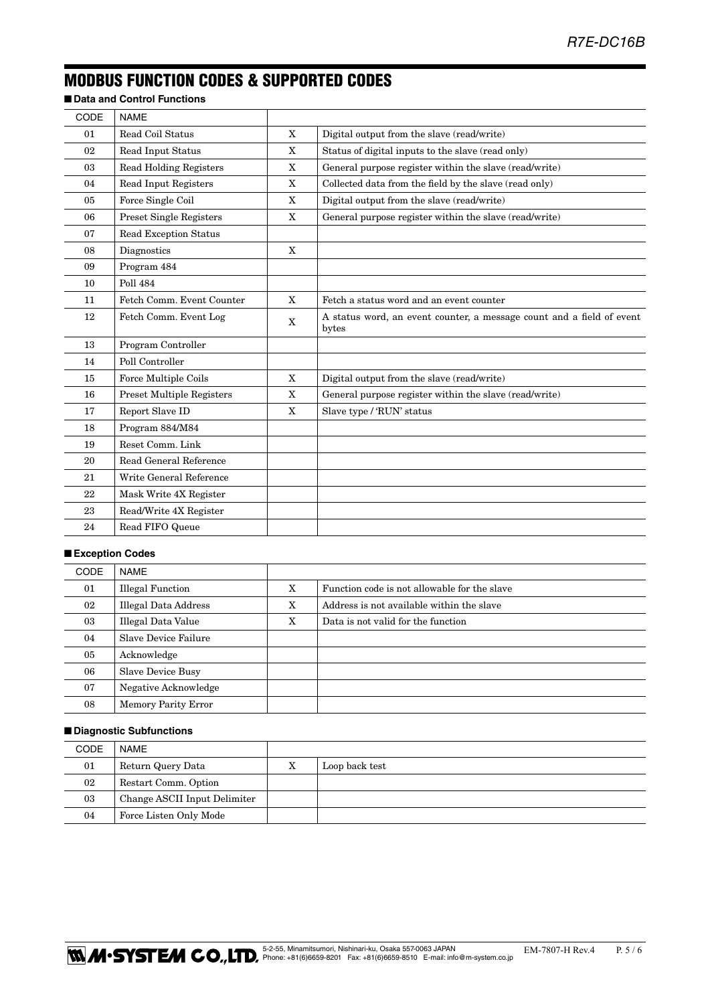## MODBUS FUNCTION CODES & SUPPORTED CODES

### ■ **Data and Control Functions**

| CODE | <b>NAME</b>                      |              |                                                                                |
|------|----------------------------------|--------------|--------------------------------------------------------------------------------|
| 01   | Read Coil Status                 | X            | Digital output from the slave (read/write)                                     |
| 02   | Read Input Status                | X            | Status of digital inputs to the slave (read only)                              |
| 03   | <b>Read Holding Registers</b>    | X            | General purpose register within the slave (read/write)                         |
| 04   | Read Input Registers             | $\mathbf{X}$ | Collected data from the field by the slave (read only)                         |
| 05   | Force Single Coil                | $\mathbf X$  | Digital output from the slave (read/write)                                     |
| 06   | <b>Preset Single Registers</b>   | X            | General purpose register within the slave (read/write)                         |
| 07   | <b>Read Exception Status</b>     |              |                                                                                |
| 08   | Diagnostics                      | X            |                                                                                |
| 09   | Program 484                      |              |                                                                                |
| 10   | Poll 484                         |              |                                                                                |
| 11   | Fetch Comm. Event Counter        | X            | Fetch a status word and an event counter                                       |
| 12   | Fetch Comm. Event Log            | X            | A status word, an event counter, a message count and a field of event<br>bytes |
| 13   | Program Controller               |              |                                                                                |
| 14   | Poll Controller                  |              |                                                                                |
| 15   | Force Multiple Coils             | X            | Digital output from the slave (read/write)                                     |
| 16   | <b>Preset Multiple Registers</b> | X            | General purpose register within the slave (read/write)                         |
| 17   | Report Slave ID                  | $\mathbf X$  | Slave type / 'RUN' status                                                      |
| 18   | Program 884/M84                  |              |                                                                                |
| 19   | Reset Comm. Link                 |              |                                                                                |
| 20   | Read General Reference           |              |                                                                                |
| 21   | Write General Reference          |              |                                                                                |
| 22   | Mask Write 4X Register           |              |                                                                                |
| 23   | Read/Write 4X Register           |              |                                                                                |
| 24   | Read FIFO Queue                  |              |                                                                                |

### ■ **Exception Codes**

| <b>CODE</b> | <b>NAME</b>                 |   |                                              |
|-------------|-----------------------------|---|----------------------------------------------|
| 01          | <b>Illegal Function</b>     | X | Function code is not allowable for the slave |
| 02          | <b>Illegal Data Address</b> | X | Address is not available within the slave    |
| 03          | Illegal Data Value          | X | Data is not valid for the function           |
| 04          | Slave Device Failure        |   |                                              |
| 05          | Acknowledge                 |   |                                              |
| 06          | <b>Slave Device Busy</b>    |   |                                              |
| 07          | Negative Acknowledge        |   |                                              |
| 08          | <b>Memory Parity Error</b>  |   |                                              |

#### ■ **Diagnostic Subfunctions**

| <b>CODE</b> | <b>NAME</b>                  |   |                |
|-------------|------------------------------|---|----------------|
| 01          | Return Query Data            | х | Loop back test |
| 02          | Restart Comm. Option         |   |                |
| 03          | Change ASCII Input Delimiter |   |                |
| 04          | Force Listen Only Mode       |   |                |